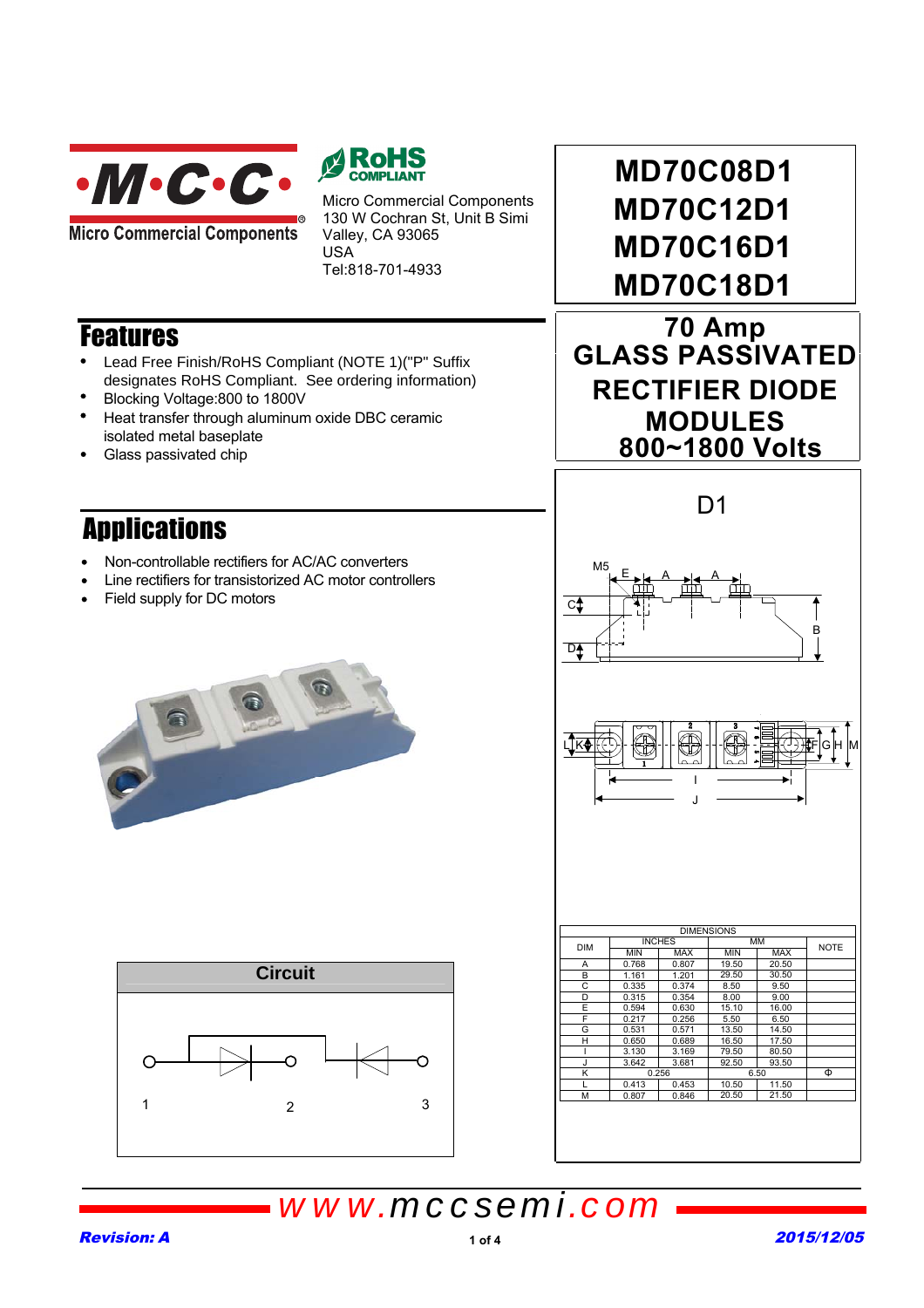

**Micro Commercial Components** 



Micro Commercial Components 130 W Cochran St, Unit B Simi Valley, CA 93065 USA Tel:818-701-4933

## **Features**

- Lead Free Finish/RoHS Compliant (NOTE 1)("P" Suffix designates RoHS Compliant. See ordering information)
- Blocking Voltage:800 to 1800V
- Heat transfer through aluminum oxide DBC ceramic isolated metal baseplate
- Glass passivated chip

## Applications

- Non-controllable rectifiers for AC/AC converters
- Line rectifiers for transistorized AC motor controllers
- Field supply for DC motors



| <b>Circuit</b> |   |   |
|----------------|---|---|
| 1              | 2 | 3 |

**MD70C08D1 MD70C12D1 MD70C16D1 MD70C18D1**

**70 Amp GLASS PASSIVATED RECTIFIER DIODE MODULES 800~1800 Volts**



# *www.mccsemi.com*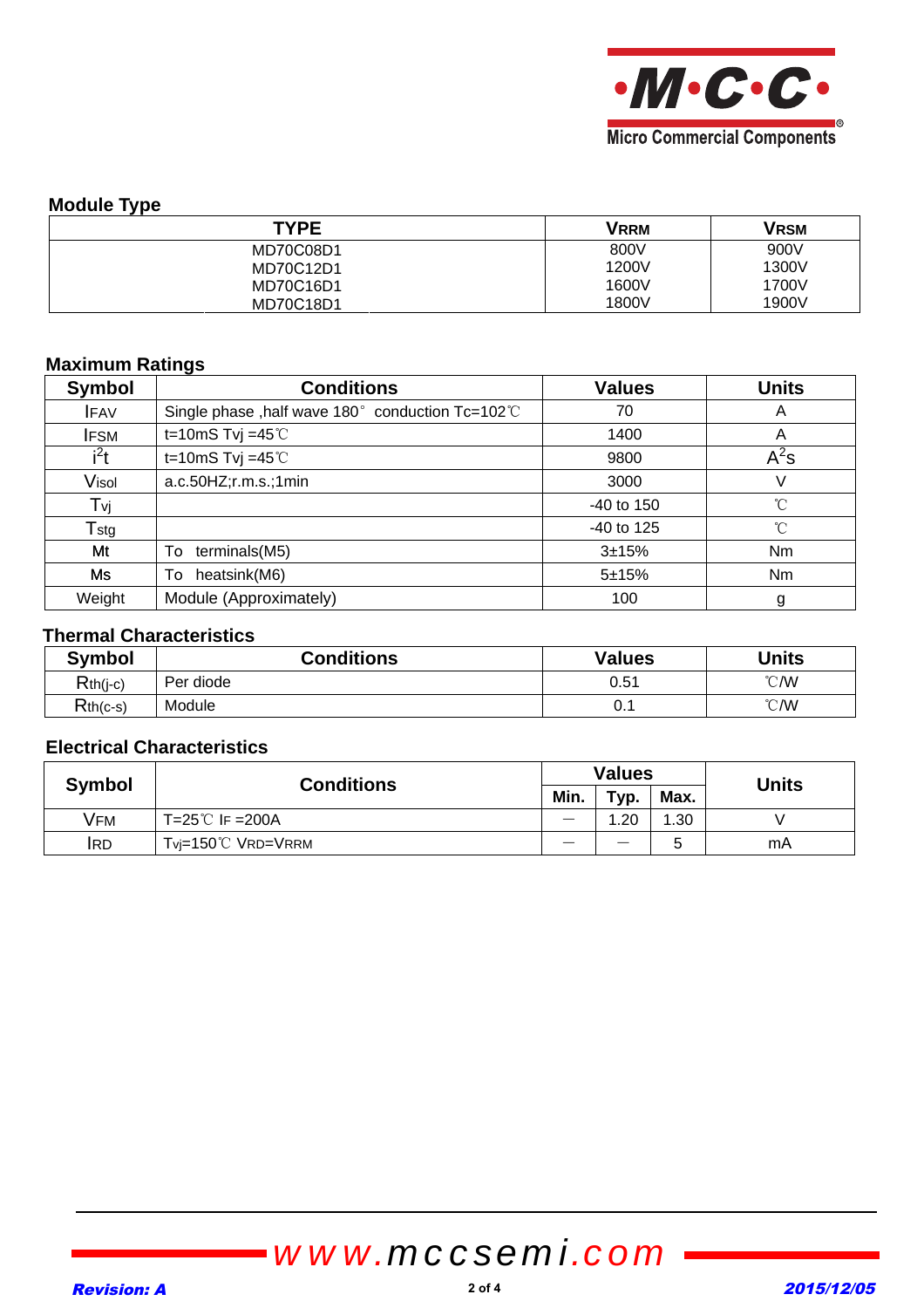

### **Module Type**

| <b>TYPE</b> | <b>VRRM</b> | Vrsm  |
|-------------|-------------|-------|
| MD70C08D1   | 800V        | 900V  |
| MD70C12D1   | 1200V       | 1300V |
| MD70C16D1   | 1600V       | 1700V |
| MD70C18D1   | 1800V       | 1900V |

### **Maximum Ratings**

| <b>Symbol</b> | <b>Conditions</b>                                | <b>Values</b> | <b>Units</b> |
|---------------|--------------------------------------------------|---------------|--------------|
| <b>IFAV</b>   | Single phase, half wave 180° conduction Tc=102°C | 70            | A            |
| <b>IFSM</b>   | t=10mS Tvj =45 $°C$                              | 1400          | A            |
| $i^2t$        | t=10mS Tvj =45 $°C$                              | 9800          | $A^2$ s      |
| Visol         | a.c.50HZ; r.m.s.; 1min                           | 3000          | V            |
| Tvj           |                                                  | $-40$ to 150  | $^{\circ}$ C |
| $T_{\rm stg}$ |                                                  | $-40$ to 125  | $^{\circ}$ C |
| Mt            | terminals(M5)<br>To                              | $3 + 15%$     | <b>Nm</b>    |
| Ms            | heatsink(M6)<br>To                               | $5 + 15%$     | Nm           |
| Weight        | Module (Approximately)                           | 100           | g            |

### **Thermal Characteristics**

| <b>Symbol</b> | <b>Conditions</b> | <b>Values</b> | <b>Units</b>  |
|---------------|-------------------|---------------|---------------|
| $Rth(j-c)$    | Per diode         | 0.51          | $\degree$ C/W |
| $Rth(c-s)$    | Module            | v.            | $\degree$ C/W |

### **Electrical Characteristics**

|        | <b>Conditions</b>               | <b>Values</b> |      |      | <b>Units</b> |
|--------|---------------------------------|---------------|------|------|--------------|
| Symbol |                                 | Min.          | Typ. | Max. |              |
| Vfm    | $T = 25^{\circ}$ F = 200A       |               | 1.20 | 1.30 |              |
| IRD    | $Tv = 150^{\circ}$ C VRD = VRRM | --            | _    |      | mA           |

# *www.mccsemi.com*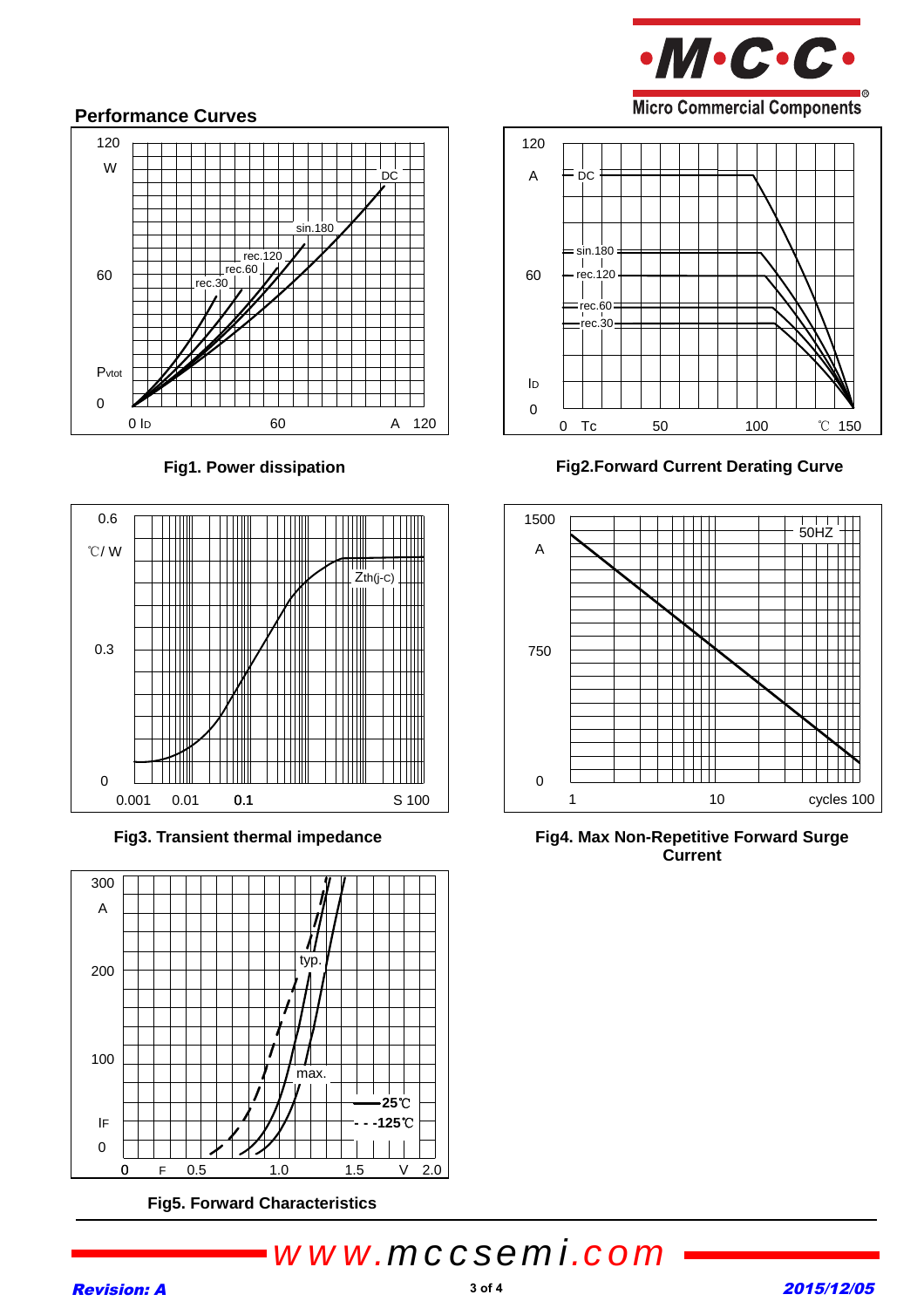

### **Performance Curves**







**Fig5. Forward Characteristics** 

120 A = DC  $=$ sin.180  $|$  |<br>rec.120 60  $\overline{\phantom{a}}$  $=$ rec.60  $rec.30$ ID 0 0 Tc 50 100 ℃ 150

Fig1. Power dissipation **Fig2.Forward Current Derating Curve** 



Fig3. Transient thermal impedance **Fig4. Max Non-Repetitive Forward Surge Current** 

# *www.mccsemi.com*

#### **Revision: A** 2015/12/05